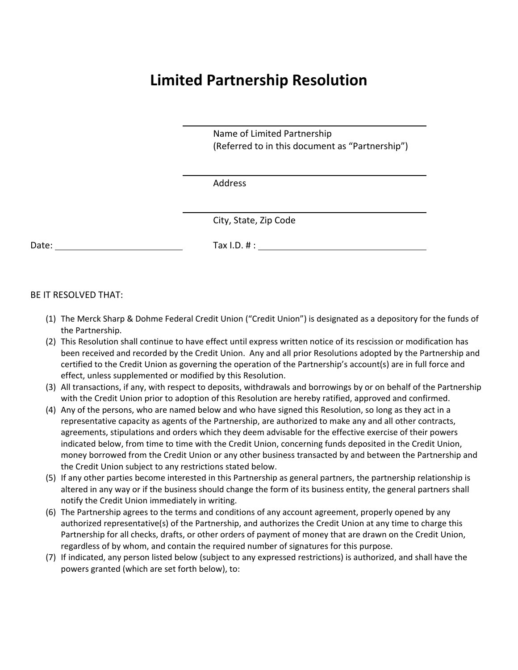## **Limited Partnership Resolution**

 Name of Limited Partnership (Referred to in this document as "Partnership")

Address

<u> 1980 - John Stein, Amerikaansk politiker (\* 1980)</u>

<u> 1980 - John Stein, Amerikaansk politiker (\* 1980)</u>

City, State, Zip Code

Date: Tax I.D. # :

BE IT RESOLVED THAT:

- (1) The Merck Sharp & Dohme Federal Credit Union ("Credit Union") is designated as a depository for the funds of the Partnership.
- (2) This Resolution shall continue to have effect until express written notice of its rescission or modification has been received and recorded by the Credit Union. Any and all prior Resolutions adopted by the Partnership and certified to the Credit Union as governing the operation of the Partnership's account(s) are in full force and effect, unless supplemented or modified by this Resolution.
- (3) All transactions, if any, with respect to deposits, withdrawals and borrowings by or on behalf of the Partnership with the Credit Union prior to adoption of this Resolution are hereby ratified, approved and confirmed.
- (4) Any of the persons, who are named below and who have signed this Resolution, so long as they act in a representative capacity as agents of the Partnership, are authorized to make any and all other contracts, agreements, stipulations and orders which they deem advisable for the effective exercise of their powers indicated below, from time to time with the Credit Union, concerning funds deposited in the Credit Union, money borrowed from the Credit Union or any other business transacted by and between the Partnership and the Credit Union subject to any restrictions stated below.
- (5) If any other parties become interested in this Partnership as general partners, the partnership relationship is altered in any way or if the business should change the form of its business entity, the general partners shall notify the Credit Union immediately in writing.
- (6) The Partnership agrees to the terms and conditions of any account agreement, properly opened by any authorized representative(s) of the Partnership, and authorizes the Credit Union at any time to charge this Partnership for all checks, drafts, or other orders of payment of money that are drawn on the Credit Union, regardless of by whom, and contain the required number of signatures for this purpose.
- (7) If indicated, any person listed below (subject to any expressed restrictions) is authorized, and shall have the powers granted (which are set forth below), to: